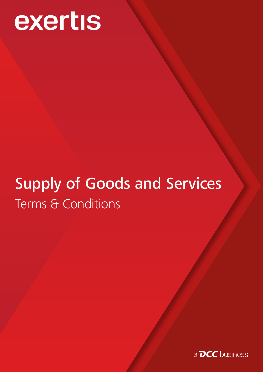# exertis

## Supply of Goods and Services Terms & Conditions

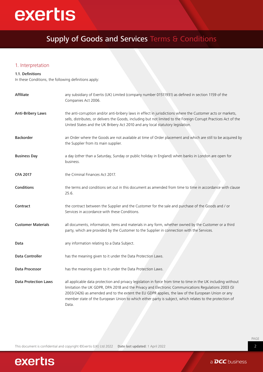## exertis

### Supply of Goods and Services Terms & Conditions

#### 1. Interpretation

#### 1.1. Definitions

In these Conditions, the following definitions apply:

| Affiliate                   | any subsidiary of Exertis (UK) Limited (company number 01511931) as defined in section 1159 of the<br>Companies Act 2006.                                                                                                                                                                                                                                                                                                                     |
|-----------------------------|-----------------------------------------------------------------------------------------------------------------------------------------------------------------------------------------------------------------------------------------------------------------------------------------------------------------------------------------------------------------------------------------------------------------------------------------------|
| <b>Anti-Bribery Laws</b>    | the anti-corruption and/or anti-bribery laws in effect in jurisdictions where the Customer acts or markets,<br>sells, distributes, or delivers the Goods, including but not limited to the Foreign Corrupt Practices Act of the<br>United States and the UK Bribery Act 2010 and any local statutory legislation.                                                                                                                             |
| Backorder                   | an Order where the Goods are not available at time of Order placement and which are still to be acquired by<br>the Supplier from its main supplier.                                                                                                                                                                                                                                                                                           |
| <b>Business Day</b>         | a day (other than a Saturday, Sunday or public holiday in England) when banks in London are open for<br>business.                                                                                                                                                                                                                                                                                                                             |
| <b>CFA 2017</b>             | the Criminal Finances Act 2017.                                                                                                                                                                                                                                                                                                                                                                                                               |
| Conditions                  | the terms and conditions set out in this document as amended from time to time in accordance with clause<br>25.6.                                                                                                                                                                                                                                                                                                                             |
| Contract                    | the contract between the Supplier and the Customer for the sale and purchase of the Goods and / or<br>Services in accordance with these Conditions.                                                                                                                                                                                                                                                                                           |
| <b>Customer Materials</b>   | all documents, information, items and materials in any form, whether owned by the Customer or a third<br>party, which are provided by the Customer to the Supplier in connection with the Services.                                                                                                                                                                                                                                           |
| Data                        | any information relating to a Data Subject.                                                                                                                                                                                                                                                                                                                                                                                                   |
| Data Controller             | has the meaning given to it under the Data Protection Laws.                                                                                                                                                                                                                                                                                                                                                                                   |
| Data Processor              | has the meaning given to it under the Data Protection Laws.                                                                                                                                                                                                                                                                                                                                                                                   |
| <b>Data Protection Laws</b> | all applicable data protection and privacy legislation in force from time to time in the UK including without<br>limitation the UK GDPR, DPA 2018 and the Privacy and Electronic Communications Regulations 2003 (SI<br>2003/2426) as amended and to the extent the EU GDPR applies, the law of the European Union or any<br>member state of the European Union to which either party is subject, which relates to the protection of<br>Data. |

This document is confidential and copyright ©Exertis (UK) Ltd 2022 Date last updated: 1 April 2022

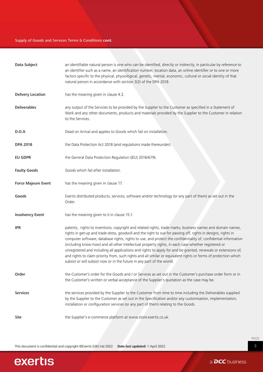#### Supply of Goods and Services Terms & Conditions **cont.**

| Data Subject             | an identifiable natural person is one who can be identified, directly or indirectly, in particular by reference to<br>an identifier such as a name, an identification number, location data, an online identifier or to one or more<br>factors specific to the physical, physiological, genetic, mental, economic, cultural or social identity of that<br>natural person in accordance with section 3(2) of the DPA 2018.                                                                                                                                                                                                                                                                                                                                             |
|--------------------------|-----------------------------------------------------------------------------------------------------------------------------------------------------------------------------------------------------------------------------------------------------------------------------------------------------------------------------------------------------------------------------------------------------------------------------------------------------------------------------------------------------------------------------------------------------------------------------------------------------------------------------------------------------------------------------------------------------------------------------------------------------------------------|
| <b>Delivery Location</b> | has the meaning given in clause 4.2.                                                                                                                                                                                                                                                                                                                                                                                                                                                                                                                                                                                                                                                                                                                                  |
| <b>Deliverables</b>      | any output of the Services to be provided by the Supplier to the Customer as specified in a Statement of<br>Work and any other documents, products and materials provided by the Supplier to the Customer in relation<br>to the Services.                                                                                                                                                                                                                                                                                                                                                                                                                                                                                                                             |
| D.O.A                    | Dead on Arrival and applies to Goods which fail on installation.                                                                                                                                                                                                                                                                                                                                                                                                                                                                                                                                                                                                                                                                                                      |
| <b>DPA 2018</b>          | the Data Protection Act 2018 (and regulations made thereunder).                                                                                                                                                                                                                                                                                                                                                                                                                                                                                                                                                                                                                                                                                                       |
| EU GDPR                  | the General Data Protection Regulation ((EU) 2016/679).                                                                                                                                                                                                                                                                                                                                                                                                                                                                                                                                                                                                                                                                                                               |
| <b>Faulty Goods</b>      | Goods which fail after installation.                                                                                                                                                                                                                                                                                                                                                                                                                                                                                                                                                                                                                                                                                                                                  |
| Force Majeure Event      | has the meaning given in clause 17.                                                                                                                                                                                                                                                                                                                                                                                                                                                                                                                                                                                                                                                                                                                                   |
| Goods                    | Exertis distributed products, services, software and/or technology (or any part of them) as set out in the<br>Order.                                                                                                                                                                                                                                                                                                                                                                                                                                                                                                                                                                                                                                                  |
| <b>Insolvency Event</b>  | has the meaning given to it in clause 15.1.                                                                                                                                                                                                                                                                                                                                                                                                                                                                                                                                                                                                                                                                                                                           |
| <b>IPR</b>               | patents, rights to inventions, copyright and related rights, trade marks, business names and domain names,<br>rights in get-up and trade dress, goodwill and the right to sue for passing off, rights in designs, rights in<br>computer software, database rights, rights to use, and protect the confidentiality of, confidential information<br>(including know-how) and all other intellectual property rights, in each case whether registered or<br>unregistered and including all applications and rights to apply for and be granted, renewals or extensions of,<br>and rights to claim priority from, such rights and all similar or equivalent rights or forms of protection which<br>subsist or will subsist now or in the future in any part of the world. |
| Order                    | the Customer's order for the Goods and / or Services as set out in the Customer's purchase order form or in<br>the Customer's written or verbal acceptance of the Supplier's quotation as the case may be.                                                                                                                                                                                                                                                                                                                                                                                                                                                                                                                                                            |
| <b>Services</b>          | the services provided by the Supplier to the Customer from time to time including the Deliverables supplied<br>by the Supplier to the Customer as set out in the Specification and/or any customisation, implementation,<br>installation or configuration services (or any part of them) relating to the Goods.                                                                                                                                                                                                                                                                                                                                                                                                                                                       |
| Site                     | the Supplier's e-commerce platform at www.store.exertis.co.uk.                                                                                                                                                                                                                                                                                                                                                                                                                                                                                                                                                                                                                                                                                                        |

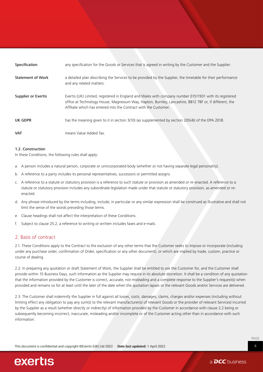| Specification            | any specification for the Goods or Services that is agreed in writing by the Customer and the Supplier.                                                                                                                                                                              |
|--------------------------|--------------------------------------------------------------------------------------------------------------------------------------------------------------------------------------------------------------------------------------------------------------------------------------|
| <b>Statement of Work</b> | a detailed plan describing the Services to be provided by the Supplier, the timetable for their performance<br>and any related matters.                                                                                                                                              |
| Supplier or Exertis      | Exertis (UK) Limited, registered in England and Wales with company number 01511931 with its registered<br>office at Technology House, Magnesium Way, Hapton, Burnley, Lancashire, BB12 7BF or, if different, the<br>Affiliate which has entered into the Contract with the Customer. |
| UK GDPR                  | has the meaning given to it in section 3(10) (as supplemented by section 205(4)) of the DPA 2018.                                                                                                                                                                                    |
| <b>VAT</b>               | means Value Added Tax.                                                                                                                                                                                                                                                               |

#### 1.2. Construction

In these Conditions, the following rules shall apply:

- a. A person includes a natural person, corporate or unincorporated body (whether or not having separate legal personality).
- b. A reference to a party includes its personal representatives, successors or permitted assigns.
- c. A reference to a statute or statutory provision is a reference to such statute or provision as amended or re-enacted. A reference to a statute or statutory provision includes any subordinate legislation made under that statute or statutory provision, as amended or reenacted.
- d. Any phrase introduced by the terms including, include, in particular or any similar expression shall be construed as illustrative and shall not limit the sense of the words preceding those terms.
- e. Clause headings shall not affect the interpretation of these Conditions.
- f. Subject to clause 25.2, a reference to writing or written includes faxes and e-mails.

#### 2. Basis of contract

2.1. These Conditions apply to the Contract to the exclusion of any other terms that the Customer seeks to impose or incorporate (including under any purchase order, confirmation of Order, specification or any other document), or which are implied by trade, custom, practice or course of dealing.

2.2. In preparing any quotation or draft Statement of Work, the Supplier shall be entitled to ask the Customer for, and the Customer shall provide within 15 Business Days, such information as the Supplier may require in its absolute discretion. It shall be a condition of any quotation that the information provided by the Customer is correct, accurate, not misleading and a complete response to the Supplier's request(s) when provided and remains so for at least until the later of the date when the quotation lapses or the relevant Goods and/or Services are delivered.

2.3. The Customer shall indemnify the Supplier in full against all losses, costs, damages, claims, charges and/or expenses (including without limiting effect any obligation to pay any sum(s) to the relevant manufacturer(s) of relevant Goods or the provider of relevant Services) incurred by the Supplier as a result (whether directly or indirectly) of information provided by the Customer in accordance with clause 2.2 being or subsequently becoming incorrect, inaccurate, misleading and/or incomplete or of the Customer acting other than in accordance with such information.

PAGE 4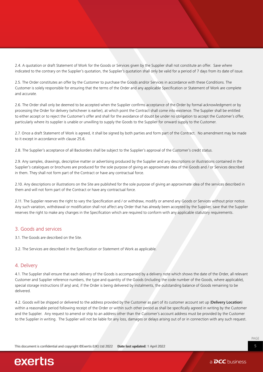2.4. A quotation or draft Statement of Work for the Goods or Services given by the Supplier shall not constitute an offer. Save where indicated to the contrary on the Supplier's quotation, the Supplier's quotation shall only be valid for a period of 7 days from its date of issue.

2.5. The Order constitutes an offer by the Customer to purchase the Goods and/or Services in accordance with these Conditions. The Customer is solely responsible for ensuring that the terms of the Order and any applicable Specification or Statement of Work are complete and accurate.

2.6. The Order shall only be deemed to be accepted when the Supplier confirms acceptance of the Order by formal acknowledgment or by processing the Order for delivery (whichever is earlier), at which point the Contract shall come into existence. The Supplier shall be entitled to either accept or to reject the Customer's offer and shall for the avoidance of doubt be under no obligation to accept the Customer's offer, particularly where its supplier is unable or unwilling to supply the Goods to the Supplier for onward supply to the Customer.

2.7. Once a draft Statement of Work is agreed, it shall be signed by both parties and form part of the Contract. No amendment may be made to it except in accordance with clause 25.6.

2.8. The Supplier's acceptance of all Backorders shall be subject to the Supplier's approval of the Customer's credit status.

2.9. Any samples, drawings, descriptive matter or advertising produced by the Supplier and any descriptions or illustrations contained in the Supplier's catalogues or brochures are produced for the sole purpose of giving an approximate idea of the Goods and / or Services described in them. They shall not form part of the Contract or have any contractual force.

2.10. Any descriptions or illustrations on the Site are published for the sole purpose of giving an approximate idea of the services described in them and will not form part of the Contract or have any contractual force.

2.11. The Supplier reserves the right to vary the Specification and / or withdraw, modify or amend any Goods or Services without prior notice. Any such variation, withdrawal or modification shall not affect any Order that has already been accepted by the Supplier, save that the Supplier reserves the right to make any changes in the Specification which are required to conform with any applicable statutory requirements.

#### 3. Goods and services

3.1. The Goods are described on the Site.

3.2. The Services are described in the Specification or Statement of Work as applicable.

#### 4. Delivery

4.1. The Supplier shall ensure that each delivery of the Goods is accompanied by a delivery note which shows the date of the Order, all relevant Customer and Supplier reference numbers, the type and quantity of the Goods (including the code number of the Goods, where applicable), special storage instructions (if any) and, if the Order is being delivered by instalments, the outstanding balance of Goods remaining to be delivered.

4.2. Goods will be shipped or delivered to the address provided by the Customer as part of its customer account set up (Delivery Location) within a reasonable period following receipt of the Order or within such other period as shall be specifically agreed in writing by the Customer and the Supplier. Any request to amend or ship to an address other than the Customer's account address must be provided by the Customer to the Supplier in writing. The Supplier will not be liable for any loss, damages or delays arising out of or in connection with any such request.

Thiis documment is comflidential and copyright ©Exertis (UK) Ltd 2022 Datte last updated: 1 April 2022

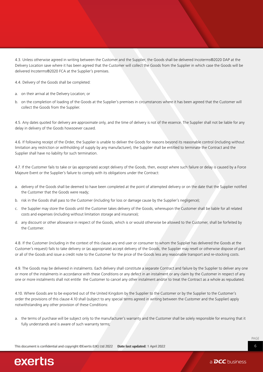4.3. Unless otherwise agreed in writing between the Customer and the Supplier, the Goods shall be delivered Incoterms®2020 DAP at the Delivery Location save where it has been agreed that the Customer will collect the Goods from the Supplier in which case the Goods will be delivered Incoterms®2020 FCA at the Supplier's premises.

4.4. Delivery of the Goods shall be completed:

- a. on their arrival at the Delivery Location; or
- b. on the completion of loading of the Goods at the Supplier's premises in circumstances where it has been agreed that the Customer will collect the Goods from the Supplier.

4.5. Any dates quoted for delivery are approximate only, and the time of delivery is not of the essence. The Supplier shall not be liable for any delay in delivery of the Goods howsoever caused.

4.6. If following receipt of the Order, the Supplier is unable to deliver the Goods for reasons beyond its reasonable control (including without limitation any restriction or withholding of supply by any manufacturer), the Supplier shall be entitled to terminate the Contract and the Supplier shall have no liability for such termination.

4.7. If the Customer fails to take or (as appropriate) accept delivery of the Goods, then, except where such failure or delay is caused by a Force Majeure Event or the Supplier's failure to comply with its obligations under the Contract:

- a. delivery of the Goods shall be deemed to have been completed at the point of attempted delivery or on the date that the Supplier notified the Customer that the Goods were ready;
- b. risk in the Goods shall pass to the Customer (including for loss or damage cause by the Supplier's negligence);
- c. the Supplier may store the Goods until the Customer takes delivery of the Goods, whereupon the Customer shall be liable for all related costs and expenses (including without limitation storage and insurance);
- d. any discount or other allowance in respect of the Goods, which is or would otherwise be allowed to the Customer, shall be forfeited by the Customer.

4.8. If the Customer (including in the context of this clause any end user or consumer to whom the Supplier has delivered the Goods at the Customer's request) fails to take delivery or (as appropriate) accept delivery of the Goods, the Supplier may resell or otherwise dispose of part or all of the Goods and issue a credit note to the Customer for the price of the Goods less any reasonable transport and re-stocking costs.

4.9. The Goods may be delivered in instalments. Each delivery shall constitute a separate Contract and failure by the Supplier to deliver any one or more of the instalments in accordance with these Conditions or any defect in an instalment or any claim by the Customer in respect of any one or more instalments shall not entitle the Customer to cancel any other instalment and/or to treat the Contract as a whole as repudiated.

4.10. Where Goods are to be exported out of the United Kingdom by the Supplier to the Customer or by the Supplier to the Customer's order the provisions of this clause 4.10 shall (subject to any special terms agreed in writing between the Customer and the Supplier) apply notwithstanding any other provision of these Conditions:

a. the terms of purchase will be subject only to the manufacturer's warranty and the Customer shall be solely responsible for ensuring that it fully understands and is aware of such warranty terms;

Thiis documment is comflidential and copyright ©Exertis (UK) Ltd 2022 Datte last updated: 1 April 2022

PAGE 6

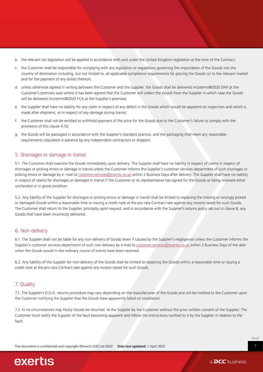- b. the relevant tax legislation will be applied in accordance with and under the United Kingdom legislation at the time of the Contract;
- c. the Customer shall be responsible for complying with any legislation or regulations governing the importation of the Goods into the country of destination including, but not limited to, all applicable compliance requirements for placing the Goods on to the relevant market and for the payment of any duties thereon;
- d. unless otherwise agreed in writing between the Customer and the Supplier, the Goods shall be delivered Incoterms®2020 DAP at the Customer's premises save where it has been agreed that the Customer will collect the Goods from the Supplier in which case the Goods will be delivered Incoterms®2020 FCA at the Supplier's premises;
- e. the Supplier shall have no liability for any claim in respect of any defect in the Goods which would be apparent on inspection and which is made after shipment, or in respect of any damage during transit;
- f. the Customer shall not be entitled to withhold payment of the price for the Goods due to the Customer's failure to comply with the provisions of this clause 4.10;
- g. the Goods will be packaged in accordance with the Supplier's standard practice, and the packaging shall meet any reasonable requirements stipulated in advance by any independent contractors or shippers.

#### 5. Shortages or damage in transit

5.1. The Customer shall examine the Goods immediately upon delivery. The Supplier shall have no liability in respect of claims in respect of shortages or picking errors or damage in transit unless the Customer informs the Supplier's customer services department of such shortages or picking errors or damage by e- mail to [customer.services@exertis.co.uk](mailto:customer.services@exertis.co.uk) within 2 Business Days after delivery. The Supplier shall have no liability in respect of claims for shortages or damages in transit if the Customer or its representative has signed for the Goods as being received either unchecked or in good condition.

5.2. Any liability of the Supplier for shortages or picking errors or damage in transit shall be limited to replacing the missing or wrongly picked or damaged Goods within a reasonable time or issuing a credit note at the pro rata Contract rate against any invoice raised for such Goods. The Customer shall return to the Supplier, promptly upon request, and in accordance with the Supplier's returns policy set out in clause 8, any Goods that have been incorrectly delivered.

#### 6. Non-delivery

6.1. The Supplier shall not be liable for any non-delivery of Goods (even if caused by the Supplier's negligence) unless the Customer informs the Supplier's customer services department of such non-delivery by e-mail to [customer.services@exertis.co.uk](mailto:customer.services@exertis.co.uk) within 2 Business Days of the date when the Goods would in the ordinary course of events have been received.

6.2. Any liability of the Supplier for non-delivery of the Goods shall be limited to replacing the Goods within a reasonable time or issuing a credit note at the pro rata Contract rate against any invoice raised for such Goods.

#### 7. Quality

7.1. The Supplier's D.O.A. returns procedure may vary depending on the manufacturer of the Goods and will be notified to the Customer upon the Customer notifying the Supplier that the Goods have apparently failed on installation.

7.2. In no circumstances may Faulty Goods be returned to the Supplier by the Customer without the prior written consent of the Supplier. The Customer must notify the Supplier of the fault becoming apparent and follow the instructions notified to it by the Supplier in relation to the fault.

Thiis documment is comflidential and copyright ©Exertis (UK) Ltd 2022 Datte last updated: 1 April 2022

PAGE 7

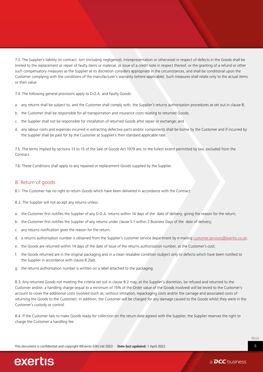7.3. The Supplier's liability (in contract, tort (including negligence), misrepresentation or otherwise) in respect of defects in the Goods shall be limited to the replacement or repair of faulty items or material, or issue of a credit note in respect thereof, or the granting of a refund or other such compensatory measures as the Supplier at its discretion considers appropriate in the circumstances, and shall be conditional upon the Customer complying with the conditions of the manufacturer's warranty (where applicable). Such measures shall relate only to the actual items or their value.

7.4. The following general provisions apply to D.O.A. and Faulty Goods:

- a. any returns shall be subject to, and the Customer shall comply with, the Supplier's returns authorisation procedures as set out in clause 8;
- b. the Customer shall be responsible for all transportation and insurance costs relating to returned Goods;
- c. the Supplier shall not be responsible for installation of returned Goods after repair or exchange; and
- d. any labour costs and expenses incurred in extracting defective parts and/or components shall be borne by the Customer and if incurred by the Supplier shall be paid for by the Customer at Supplier's then standard applicable rate.

7.5. The terms implied by sections 13 to 15 of the Sale of Goods Act 1979 are, to the fullest extent permitted by law, excluded from the Contract.

7.6. These Conditions shall apply to any repaired or replacement Goods supplied by the Supplier.

#### 8. Return of goods

8.1. The Customer has no right to return Goods which have been delivered in accordance with the Contract.

8.2. The Supplier will not accept any returns unless:

- a. the Customer first notifies the Supplier of any D.O.A. returns within 14 days of the date of delivery, giving the reason for the return;
- b. the Customer first notifies the Supplier of any returns under clause 5.1 within 2 Business Days of the date of delivery;
- c. any returns notification gives the reason for the return;
- d. a returns authorisation number is obtained from the Supplier's customer service department by e-mailing [customer.services@exertis.co.uk](mailto:customer.services@exertis.co.uk;);
- e. the Goods are returned within 14 days of the date of issue of the returns authorisation number, at the Customer's cost;
- f. the Goods returned are in the original packaging and in a clean resalable condition (subject only to defects which have been notified to the Supplier in accordance with clause 8.2(a));
- g. the returns authorisation number is written on a label attached to the packaging.

8.3. Any returned Goods not meeting the criteria set out in clause 8.2 may, at the Supplier's discretion, be refused and returned to the Customer and/or, a handling charge (equal to a minimum of 15% of the Order value of the Goods involved) will be levied to the Customer's account to cover the additional costs involved (such as, without limitation, repackaging costs and/or the carriage and associated costs of returning the Goods to the Customer). In addition, the Customer will be charged for any damage caused to the Goods whilst they were in the Customer's custody or control.

8.4. If the Customer fails to make Goods ready for collection on the return date agreed with the Supplier, the Supplier reserves the right to charge the Customer a handling fee.

Thiis documment is comflidential and copyright ©Exertis (UK) Ltd 2022 Datte last updated: 1 April 2022

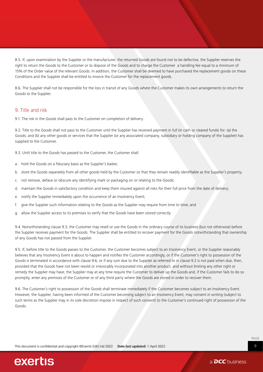8.5. If, upon examination by the Supplier or the manufacturer, the returned Goods are found not to be defective, the Supplier reserves the right to return the Goods to the Customer or to dispose of the Goods and to charge the Customer a handling fee equal to a minimum of 15% of the Order value of the relevant Goods. In addition, the Customer shall be deemed to have purchased the replacement goods on these Conditions and the Supplier shall be entitled to invoice the Customer for the replacement goods.

8.6. The Supplier shall not be responsible for the loss in transit of any Goods where the Customer makes its own arrangements to return the Goods to the Supplier.

#### 9. Title and risk

9.1. The risk in the Goods shall pass to the Customer on completion of delivery.

9.2. Title to the Goods shall not pass to the Customer until the Supplier has received payment in full (in cash or cleared funds) for: (a) the Goods; and (b) any other goods or services that the Supplier (or any associated company, subsidiary or holding company of the Supplier) has supplied to the Customer.

9.3. Until title to the Goods has passed to the Customer, the Customer shall:

- a. hold the Goods on a fiduciary basis as the Supplier's bailee;
- b. store the Goods separately from all other goods held by the Customer so that they remain readily identifiable as the Supplier's property;
- c. not remove, deface or obscure any identifying mark or packaging on or relating to the Goods;
- d. maintain the Goods in satisfactory condition and keep them insured against all risks for their full price from the date of delivery;
- e. notify the Supplier immediately upon the occurrence of an Insolvency Event;
- f. give the Supplier such information relating to the Goods as the Supplier may require from time to time; and
- g. allow the Supplier access to its premises to verify that the Goods have been stored correctly.

9.4. Notwithstanding clause 9.3, the Customer may resell or use the Goods in the ordinary course of its business (but not otherwise) before the Supplier receives payment for the Goods. The Supplier shall be entitled to recover payment for the Goods notwithstanding that ownership of any Goods has not passed from the Supplier.

9.5. If, before title to the Goods passes to the Customer, the Customer becomes subject to an Insolvency Event, or the Supplier reasonably believes that any Insolvency Event is about to happen and notifies the Customer accordingly, or if the Customer's right to possession of the Goods is terminated in accordance with clause 9.6, or if any sum due to the Supplier as referred to in clause 9.2 is not paid when due, then, provided that the Goods have not been resold or irrevocably incorporated into another product, and without limiting any other right or remedy the Supplier may have, the Supplier may at any time require the Customer to deliver up the Goods and, if the Customer fails to do so promptly, enter any premises of the Customer or of any third party where the Goods are stored in order to recover them.

9.6. The Customer's right to possession of the Goods shall terminate immediately if the Customer becomes subject to an Insolvency Event. However, the Supplier, having been informed of the Customer becoming subject to an Insolvency Event, may consent in writing (subject to such terms as the Supplier may in its sole discretion impose in respect of such consent) to the Customer's continued right of possession of the Goods.

Thiis documment is comflidential and copyright ©Exertis (UK) Ltd 2022 Datte last updated: 1 April 2022

PAGE 9

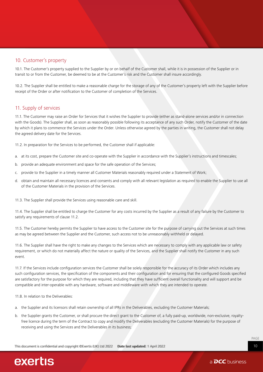#### 10. Customer's property

10.1. The Customer's property supplied to the Supplier by or on behalf of the Customer shall, while it is in possession of the Supplier or in transit to or from the Customer, be deemed to be at the Customer's risk and the Customer shall insure accordingly.

10.2. The Supplier shall be entitled to make a reasonable charge for the storage of any of the Customer's property left with the Supplier before receipt of the Order or after notification to the Customer of completion of the Services.

#### 11. Supply of services

11.1. The Customer may raise an Order for Services that it wishes the Supplier to provide (either as stand-alone services and/or in connection with the Goods). The Supplier shall, as soon as reasonably possible following its acceptance of any such Order, notify the Customer of the date by which it plans to commence the Services under the Order. Unless otherwise agreed by the parties in writing, the Customer shall not delay the agreed delivery date for the Services.

11.2. In preparation for the Services to be performed, the Customer shall if applicable:

- a. at its cost, prepare the Customer site and co-operate with the Supplier in accordance with the Supplier's instructions and timescales;
- b. provide an adequate environment and space for the safe operation of the Services;
- c. provide to the Supplier in a timely manner all Customer Materials reasonably required under a Statement of Work;
- d. obtain and maintain all necessary licences and consents and comply with all relevant legislation as required to enable the Supplier to use all of the Customer Materials in the provision of the Services.

11.3. The Supplier shall provide the Services using reasonable care and skill.

11.4. The Supplier shall be entitled to charge the Customer for any costs incurred by the Supplier as a result of any failure by the Customer to satisfy any requirements of clause 11.2.

11.5. The Customer hereby permits the Supplier to have access to the Customer site for the purpose of carrying out the Services at such times as may be agreed between the Supplier and the Customer, such access not to be unreasonably withheld or delayed.

11.6. The Supplier shall have the right to make any changes to the Services which are necessary to comply with any applicable law or safety requirement, or which do not materially affect the nature or quality of the Services, and the Supplier shall notify the Customer in any such event.

11.7. If the Services include configuration services the Customer shall be solely responsible for the accuracy of its Order which includes any such configuration services, the specification of the components and their configuration and for ensuring that the configured Goods specified are satisfactory for the purpose for which they are required, including that they have sufficient overall functionality and will support and be compatible and inter-operable with any hardware, software and middleware with which they are intended to operate.

11.8. In relation to the Deliverables:

- a. the Supplier and its licensors shall retain ownership of all IPRs in the Deliverables, excluding the Customer Materials;
- b. the Supplier grants the Customer, or shall procure the direct grant to the Customer of, a fully paid-up, worldwide, non-exclusive, royaltyfree licence during the term of the Contract to copy and modify the Deliverables (excluding the Customer Materials) for the purpose of receiving and using the Services and the Deliverables in its business;

Thiis documment is comflidential and copyright ©Exertis (UK) Ltd 2022 Datte last updated: 1 April 2022

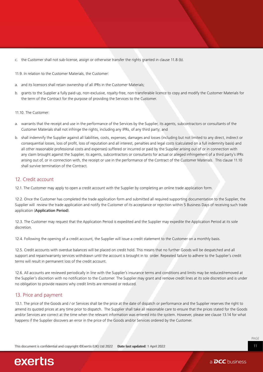c. the Customer shall not sub-license, assign or otherwise transfer the rights granted in clause 11.8 (b).

11.9. In relation to the Customer Materials, the Customer:

- a. and its licensors shall retain ownership of all IPRs in the Customer Materials;
- b. grants to the Supplier a fully paid-up, non-exclusive, royalty-free, non-transferable licence to copy and modify the Customer Materials for the term of the Contract for the purpose of providing the Services to the Customer.

11.10. The Customer:

- a. warrants that the receipt and use in the performance of the Services by the Supplier, its agents, subcontractors or consultants of the Customer Materials shall not infringe the rights, including any IPRs, of any third party; and
- b. shall indemnify the Supplier against all liabilities, costs, expenses, damages and losses (including but not limited to any direct, indirect or consequential losses, loss of profit, loss of reputation and all interest, penalties and legal costs (calculated on a full indemnity basis) and all other reasonable professional costs and expenses) suffered or incurred or paid by the Supplier arising out of or in connection with any claim brought against the Supplier, its agents, subcontractors or consultants for actual or alleged infringement of a third party's IPRs arising out of, or in connection with, the receipt or use in the performance of the Contract of the Customer Materials. This clause 11.10 shall survive termination of the Contract.

#### 12. Credit account

12.1. The Customer may apply to open a credit account with the Supplier by completing an online trade application form.

12.2. Once the Customer has completed the trade application form and submitted all required supporting documentation to the Supplier, the Supplier will review the trade application and notify the Customer of its acceptance or rejection within 5 Business Days of receiving such trade application (Application Period).

12.3. The Customer may request that the Application Period is expedited and the Supplier may expedite the Application Period at its sole discretion.

12.4. Following the opening of a credit account, the Supplier will issue a credit statement to the Customer on a monthly basis.

12.5. Credit accounts with overdue balances will be placed on credit hold. This means that no further Goods will be despatched and all support and repair/warranty services withdrawn until the account is brought in to order. Repeated failure to adhere to the Supplier's credit terms will result in permanent loss of the credit account.

12.6. All accounts are reviewed periodically in line with the Supplier's insurance terms and conditions and limits may be reduced/removed at the Supplier's discretion with no notification to the Customer. The Supplier may grant and remove credit lines at its sole discretion and is under no obligation to provide reasons why credit limits are removed or reduced.

#### 13. Price and payment

13.1. The price of the Goods and / or Services shall be the price at the date of dispatch or performance and the Supplier reserves the right to amend its quoted prices at any time prior to dispatch. The Supplier shall take all reasonable care to ensure that the prices stated for the Goods and/or Services are correct at the time when the relevant information was entered into the system. However, please see clause 13.14 for what happens if the Supplier discovers an error in the price of the Goods and/or Services ordered by the Customer.

Thiis documment is comflidential and copyright ©Exertis (UK) Ltd 2022 Datte last updated: 1 April 2022

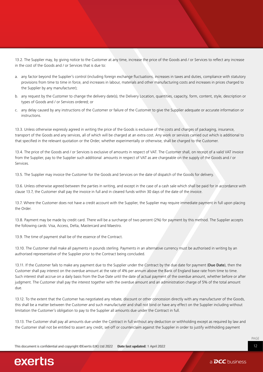13.2. The Supplier may, by giving notice to the Customer at any time, increase the price of the Goods and / or Services to reflect any increase in the cost of the Goods and / or Services that is due to:

- a. any factor beyond the Supplier's control (including foreign exchange fluctuations, increases in taxes and duties, compliance with statutory provisions from time to time in force, and increases in labour, materials and other manufacturing costs and increases in prices charged to the Supplier by any manufacturer);
- b. any request by the Customer to change the delivery date(s), the Delivery Location, quantities, capacity, form, content, style, description or types of Goods and / or Services ordered; or
- c. any delay caused by any instructions of the Customer or failure of the Customer to give the Supplier adequate or accurate information or instructions.

13.3. Unless otherwise expressly agreed in writing the price of the Goods is exclusive of the costs and charges of packaging, insurance, transport of the Goods and any services, all of which will be charged at an extra cost. Any work or services carried out which is additional to that specified in the relevant quotation or the Order, whether experimentally or otherwise, shall be charged to the Customer.

13.4. The price of the Goods and / or Services is exclusive of amounts in respect of VAT. The Customer shall, on receipt of a valid VAT invoice from the Supplier, pay to the Supplier such additional amounts in respect of VAT as are chargeable on the supply of the Goods and / or Services.

13.5. The Supplier may invoice the Customer for the Goods and Services on the date of dispatch of the Goods for delivery.

13.6. Unless otherwise agreed between the parties in writing, and except in the case of a cash sale which shall be paid for in accordance with clause 13.7, the Customer shall pay the invoice in full and in cleared funds within 30 days of the date of the invoice.

13.7. Where the Customer does not have a credit account with the Supplier, the Supplier may require immediate payment in full upon placing the Order.

13.8. Payment may be made by credit card. There will be a surcharge of two percent (2%) for payment by this method. The Supplier accepts the following cards: Visa, Access, Delta, Mastercard and Maestro.

13.9. The time of payment shall be of the essence of the Contract.

13.10. The Customer shall make all payments in pounds sterling. Payments in an alternative currency must be authorised in writing by an authorised representative of the Supplier prior to the Contract being concluded.

13.11. If the Customer fails to make any payment due to the Supplier under the Contract by the due date for payment (Due Date), then the Customer shall pay interest on the overdue amount at the rate of 4% per annum above the Bank of England base rate from time to time. Such interest shall accrue on a daily basis from the Due Date until the date of actual payment of the overdue amount, whether before or after judgment. The Customer shall pay the interest together with the overdue amount and an administration charge of 5% of the total amount due.

13.12. To the extent that the Customer has negotiated any rebate, discount or other concession directly with any manufacturer of the Goods, this shall be a matter between the Customer and such manufacturer and shall not bind or have any effect on the Supplier including without limitation the Customer's obligation to pay to the Supplier all amounts due under the Contract in full.

13.13. The Customer shall pay all amounts due under the Contract in full without any deduction or withholding except as required by law and the Customer shall not be entitled to assert any credit, set-off or counterclaim against the Supplier in order to justify withholding payment

Thiis documment is comflidential and copyright ©Exertis (UK) Ltd 2022 Datte last updated: 1 April 2022

PAGE 12

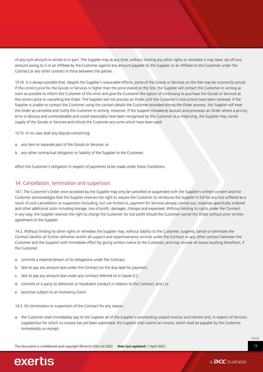of any such amount in whole or in part. The Supplier may at any time, without limiting any other rights or remedies it may have, set off any amount owing to it or an Affiliate by the Customer against any amount payable by the Supplier or an Affiliate to the Customer under the Contract or any other contract in force between the parties.

13.14. It is always possible that, despite the Supplier's reasonable efforts, some of the Goods or Services on the Site may be incorrectly priced. If the correct price for the Goods or Services is higher than the price stated on the Site, the Supplier will contact the Customer in writing as soon as possible to inform the Customer of this error and give the Customer the option of continuing to purchase the Goods or Services at the correct price or cancelling the Order. The Supplier will not process an Order until the Customer's instructions have been received. If the Supplier is unable to contact the Customer using the contact details the Customer provided during the Order process, the Supplier will treat the Order as cancelled and notify the Customer in writing. However, if the Supplier mistakenly accepts and processes an Order where a pricing error is obvious and unmistakeable and could reasonably have been recognised by the Customer as a mispricing, the Supplier may cancel supply of the Goods or Services and refund the Customer any sums which have been paid.

13.15. In no case shall any dispute concerning:

- a. any item or separate part of the Goods or Services; or
- b. any other contractual obligation or liability of the Supplier to the Customer,

affect the Customer's obligation in respect of payments to be made under these Conditions.

#### 14. Cancellation, termination and suspension

14.1. The Customer's Order once accepted by the Supplier may only be cancelled or suspended with the Supplier's written consent and the Customer acknowledges that the Supplier reserves the right to require the Customer to reimburse the Supplier in full for any loss suffered as a result of such cancellation or suspension (including, but not limited to, payment for Services already carried out, materials specifically ordered and other additional costs including storage, loss of profit, damages, charges and expenses). Without limiting its rights under the Contract in any way, the Supplier reserves the right to charge the Customer for lost profit should the Customer cancel the Order without prior written agreement of the Supplier.

14.2. Without limiting its other rights or remedies the Supplier may, without liability to the Customer, suspend, cancel or terminate the Contract (and/or all further deliveries and/or all support and repair/warranty services under the Contract or any other contract between the Customer and the Supplier) with immediate effect by giving written notice to the Customer, and may recover all losses resulting therefrom, if the Customer:

- a. commits a material breach of its obligations under the Contract;
- b. fails to pay any amount due under the Contract on the due date for payment;
- c. fails to pay any amount due under any contract referred to in clause 9.2;
- d. commits or is party to dishonest or fraudulent conduct in relation to the Contract; and / or
- e. becomes subject to an Insolvency Event.
- 14.3. On termination or suspension of the Contract for any reason:
- a. the Customer shall immediately pay to the Supplier all of the Supplier's outstanding unpaid invoices and interest and, in respect of Services supplied but for which no invoice has yet been submitted, the Supplier shall submit an invoice, which shall be payable by the Customer immediately on receipt;

Thiis documment is comflidential and copyright ©Exertis (UK) Ltd 2022 Datte last updated: 1 April 2022



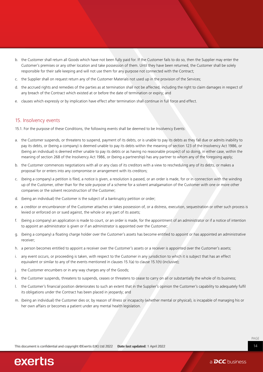- b. the Customer shall return all Goods which have not been fully paid for. If the Customer fails to do so, then the Supplier may enter the Customer's premises or any other location and take possession of them. Until they have been returned, the Customer shall be solely responsible for their safe keeping and will not use them for any purpose not connected with the Contract;
- c. the Supplier shall on request return any of the Customer Materials not used up in the provision of the Services;
- d. the accrued rights and remedies of the parties as at termination shall not be affected, including the right to claim damages in respect of any breach of the Contract which existed at or before the date of termination or expiry; and
- e. clauses which expressly or by implication have effect after termination shall continue in full force and effect.

#### 15. Insolvency events

15.1. For the purpose of these Conditions, the following events shall be deemed to be Insolvency Events:

- a. the Customer suspends, or threatens to suspend, payment of its debts, or is unable to pay its debts as they fall due or admits inability to pay its debts, or (being a company) is deemed unable to pay its debts within the meaning of section 123 of the Insolvency Act 1986, or (being an individual) is deemed either unable to pay its debts or as having no reasonable prospect of so doing, in either case, within the meaning of section 268 of the Insolvency Act 1986, or (being a partnership) has any partner to whom any of the foregoing apply;
- b. the Customer commences negotiations with all or any class of its creditors with a view to rescheduling any of its debts, or makes a proposal for or enters into any compromise or arrangement with its creditors;
- c. (being a company) a petition is filed, a notice is given, a resolution is passed, or an order is made, for or in connection with the winding up of the Customer, other than for the sole purpose of a scheme for a solvent amalgamation of the Customer with one or more other companies or the solvent reconstruction of the Customer;
- d. (being an individual) the Customer is the subject of a bankruptcy petition or order;
- e. a creditor or encumbrancer of the Customer attaches or takes possession of, or a distress, execution, sequestration or other such process is levied or enforced on or sued against, the whole or any part of its assets;
- f. (being a company) an application is made to court, or an order is made, for the appointment of an administrator or if a notice of intention to appoint an administrator is given or if an administrator is appointed over the Customer;
- g. (being a company) a floating charge holder over the Customer's assets has become entitled to appoint or has appointed an administrative receiver;
- h. a person becomes entitled to appoint a receiver over the Customer's assets or a receiver is appointed over the Customer's assets;
- i. any event occurs, or proceeding is taken, with respect to the Customer in any jurisdiction to which it is subject that has an effect equivalent or similar to any of the events mentioned in clauses 15.1(a) to clause 15.1(h) (inclusive);
- j. the Customer encumbers or in any way charges any of the Goods;
- k. the Customer suspends, threatens to suspends, ceases or threatens to cease to carry on all or substantially the whole of its business;
- l. the Customer's financial position deteriorates to such an extent that in the Supplier's opinion the Customer's capability to adequately fulfil its obligations under the Contract has been placed in jeopardy; and
- m. (being an individual) the Customer dies or, by reason of illness or incapacity (whether mental or physical), is incapable of managing his or her own affairs or becomes a patient under any mental health legislation.

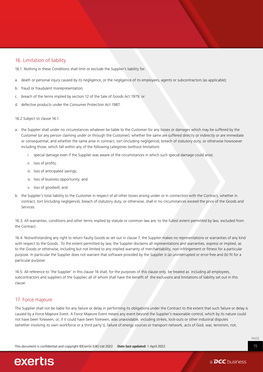#### 16. Limitation of liability

16.1. Nothing in these Conditions shall limit or exclude the Supplier's liability for:

- a. death or personal injury caused by its negligence, or the negligence of its employees, agents or subcontractors (as applicable);
- b. fraud or fraudulent misrepresentation;
- c. breach of the terms implied by section 12 of the Sale of Goods Act 1979; or
- d. defective products under the Consumer Protection Act 1987.

16.2 Subject to clause 16.1:

- a. the Supplier shall under no circumstances whatever be liable to the Customer for any losses or damages which may be suffered by the Customer (or any person claiming under or through the Customer), whether the same are suffered directly or indirectly or are immediate or consequential, and whether the same arise in contract, tort (including negligence), breach of statutory duty, or otherwise howsoever including those, which fall within any of the following categories (without limitation):
	- i. special damage even if the Supplier was aware of the circumstances in which such special damage could arise;
	- ii. loss of profits;
	- iii. loss of anticipated savings;
	- iv. loss of business opportunity; and
	- v. loss of goodwill; and
- b. the Supplier's total liability to the Customer in respect of all other losses arising under or in connection with the Contract, whether in contract, tort (including negligence), breach of statutory duty, or otherwise, shall in no circumstances exceed the price of the Goods and Services.

16.3. All warranties, conditions and other terms implied by statute or common law are, to the fullest extent permitted by law, excluded from the Contract.

16.4. Notwithstanding any right to return Faulty Goods as set out in clause 7, the Supplier makes no representations or warranties of any kind with respect to the Goods. To the extent permitted by law, the Supplier disclaims all representations and warranties, express or implied, as to the Goods or otherwise, including but not limited to any implied warranty of merchantability, non-infringement or fitness for a particular purpose. In particular the Supplier does not warrant that software provided by the Supplier is (a) uninterrupted or error-free and (b) fit for a particular purpose.

16.5. All reference to 'the Supplier' in this clause 16 shall, for the purposes of this clause only, be treated as including all employees, subcontractors and suppliers of the Supplier, all of whom shall have the benefit of the exclusions and limitations of liability set out in this clause.

#### 17. Force majeure

The Supplier shall not be liable for any failure or delay in performing its obligations under the Contract to the extent that such failure or delay is caused by a Force Majeure Event. A Force Majeure Event means any event beyond the Supplier's reasonable control, which by its nature could not have been foreseen, or, if it could have been foreseen, was unavoidable, including strikes, lock-outs or other industrial disputes (whether involving its own workforce or a third party's), failure of energy sources or transport network, acts of God, war, terrorism, riot,

PAGE 15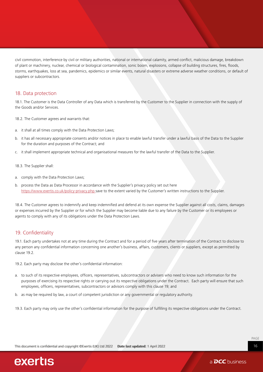civil commotion, interference by civil or military authorities, national or international calamity, armed conflict, malicious damage, breakdown of plant or machinery, nuclear, chemical or biological contamination, sonic boom, explosions, collapse of building structures, fires, floods, storms, earthquakes, loss at sea, pandemics, epidemics or similar events, natural disasters or extreme adverse weather conditions, or default of suppliers or subcontractors.

#### 18. Data protection

18.1. The Customer is the Data Controller of any Data which is transferred by the Customer to the Supplier in connection with the supply of the Goods and/or Services.

18.2. The Customer agrees and warrants that:

- a. it shall at all times comply with the Data Protection Laws;
- b. it has all necessary appropriate consents and/or notices in place to enable lawful transfer under a lawful basis of the Data to the Supplier for the duration and purposes of the Contract; and
- c. it shall implement appropriate technical and organisational measures for the lawful transfer of the Data to the Supplier.

18.3. The Supplier shall:

- a. comply with the Data Protection Laws;
- b. process the Data as Data Processor in accordance with the Supplier's privacy policy set out here [https://www.exertis.co.uk/policy-privacy.php](https://www.exertis.co.uk/policy-privacy.php ) save to the extent varied by the Customer's written instructions to the Supplier.

18.4. The Customer agrees to indemnify and keep indemnified and defend at its own expense the Supplier against all costs, claims, damages or expenses incurred by the Supplier or for which the Supplier may become liable due to any failure by the Customer or its employees or agents to comply with any of its obligations under the Data Protection Laws.

#### 19. Confidentiality

19.1. Each party undertakes not at any time during the Contract and for a period of five years after termination of the Contract to disclose to any person any confidential information concerning one another's business, affairs, customers, clients or suppliers, except as permitted by clause 19.2.

19.2. Each party may disclose the other's confidential information:

- a. to such of its respective employees, officers, representatives, subcontractors or advisers who need to know such information for the purposes of exercising its respective rights or carrying out its respective obligations under the Contract. Each party will ensure that such employees, officers, representatives, subcontractors or advisors comply with this clause 19; and
- b. as may be required by law, a court of competent jurisdiction or any governmental or regulatory authority.
- 19.3. Each party may only use the other's confidential information for the purpose of fulfilling its respective obligations under the Contract.



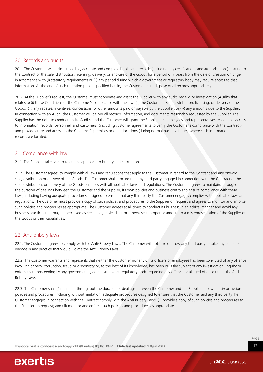#### 20. Records and audits

20.1. The Customer will maintain legible, accurate and complete books and records (including any certifications and authorisations) relating to the Contract or the sale, distribution, licensing, delivery, or end-use of the Goods for a period of 7 years from the date of creation or longer in accordance with (i) statutory requirements or (ii) any period during which a government or regulatory body may require access to that information. At the end of such retention period specified herein, the Customer must dispose of all records appropriately.

20.2. At the Supplier's request, the Customer must cooperate and assist the Supplier with any audit, review, or investigation (Audit) that relates to (i) these Conditions or the Customer's compliance with the law; (ii) the Customer's sale, distribution, licensing, or delivery of the Goods; (iii) any rebates, incentives, concessions, or other amounts paid or payable by the Supplier; or (iv) any amounts due to the Supplier. In connection with an Audit, the Customer will deliver all records, information, and documents reasonably requested by the Supplier. The Supplier has the right to conduct onsite Audits, and the Customer will grant the Supplier, its employees and representatives reasonable access to information, records, personnel, and customers, (including customer agreements to verify the Customer's compliance with the Contract) and provide entry and access to the Customer's premises or other locations (during normal business hours) where such information and records are located.

#### 21. Compliance with law

21.1. The Supplier takes a zero tolerance approach to bribery and corruption.

21.2. The Customer agrees to comply with all laws and regulations that apply to the Customer in regard to the Contract and any onward sale, distribution or delivery of the Goods. The Customer shall procure that any third party engaged in connection with the Contract or the sale, distribution, or delivery of the Goods complies with all applicable laws and regulations. The Customer agrees to maintain, throughout the duration of dealings between the Customer and the Supplier, its own policies and business controls to ensure compliance with these laws, including having adequate procedures designed to ensure that any third party the Customer engages complies with applicable laws and regulations. The Customer must provide a copy of such policies and procedures to the Supplier on request and agrees to monitor and enforce such policies and procedures as appropriate. The Customer agrees at all times to conduct its business in an ethical manner and avoid any business practices that may be perceived as deceptive, misleading, or otherwise improper or amount to a misrepresentation of the Supplier or the Goods or their capabilities.

#### 22. Anti-bribery laws

22.1. The Customer agrees to comply with the Anti-Bribery Laws. The Customer will not take or allow any third party to take any action or engage in any practice that would violate the Anti Bribery Laws.

22.2. The Customer warrants and represents that neither the Customer nor any of its officers or employees has been convicted of any offence involving bribery, corruption, fraud or dishonesty or, to the best of its knowledge, has been or is the subject of any investigation, inquiry or enforcement proceeding by any governmental, administrative or regulatory body regarding any offence or alleged offence under the Anti-Bribery Laws.

22.3. The Customer shall (i) maintain, throughout the duration of dealings between the Customer and the Supplier, its own anti-corruption policies and procedures, including without limitation, adequate procedures designed to ensure that the Customer and any third party the Customer engages in connection with the Contract comply with the Anti Bribery Laws; (ii) provide a copy of such policies and procedures to the Supplier on request; and (iii) monitor and enforce such policies and procedures as appropriate.



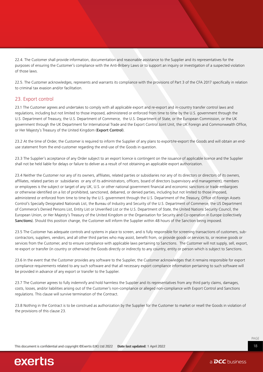22.4. The Customer shall provide information, documentation and reasonable assistance to the Supplier and its representatives for the purposes of ensuring the Customer's compliance with the Anti-Bribery Laws or to support an inquiry or investigation of a suspected violation of those laws.

22.5. The Customer acknowledges, represents and warrants its compliance with the provisions of Part 3 of the CFA 2017 specifically in relation to criminal tax evasion and/or facilitation.

#### 23. Export control

23.1 The Customer agrees and undertakes to comply with all applicable export and re-export and in-country transfer control laws and regulations, including but not limited to those imposed, administered or enforced from time to time by the U.S. government through the U.S. Department of Treasury, the U.S. Department of Commerce, the U.S. Department of State, or the European Commission, or the UK government through the UK Department for International Trade and the Export Control Joint Unit, the UK Foreign and Commonwealth Office, or Her Majesty's Treasury of the United Kingdom (Export Control).

23.2 At the time of Order, the Customer is required to inform the Supplier of any plans to export/re-export the Goods and will obtain an enduse statement from the end-customer regarding the end-use of the Goods in question.

23.3 The Supplier's acceptance of any Order subject to an export licence is contingent on the issuance of applicable licence and the Supplier shall not be held liable for delays or failure to deliver as a result of not obtaining an applicable export authorization.

23.4 Neither the Customer nor any of its owners, affiliates, related parties or subsidiaries nor any of its directors or directors of its owners, affiliates, related parties or subsidiaries or any of its administrators, officers, board of directors (supervisory and management), members or employees is the subject or target of any UK, U.S. or other national government financial and economic sanctions or trade embargoes or otherwise identified on a list of prohibited, sanctioned, debarred, or denied parties, including but not limited to those imposed, administered or enforced from time to time by the U.S. government through the U.S. Department of the Treasury, Office of Foreign Assets Control's Specially Designated Nationals List, the Bureau of Industry and Security of the U.S. Department of Commerce, the US Department of Commerce's Denied Persons List, Entity List or Unverified List or the U.S. Department of State, the United Nations Security Council, the European Union, or Her Majesty's Treasury of the United Kingdom or the Organisation for Security and Co-operation in Europe (collectively Sanctions). Should this position change, the Customer will inform the Supplier within 48 hours of the Sanction being imposed.

23.5 The Customer has adequate controls and systems in place to screen, and is fully responsible for screening transactions of customers, subcontractors, suppliers, vendors, and all other third parties who may assist, benefit from, or provide goods or services to, or receive goods or services from the Customer, and to ensure compliance with applicable laws pertaining to Sanctions. The Customer will not supply, sell, export, re-export or transfer (in country or otherwise) the Goods directly or indirectly to any country, entity or person which is subject to Sanctions.

23.6 In the event that the Customer provides any software to the Supplier, the Customer acknowledges that it remains responsible for export compliance requirements related to any such software and that all necessary export compliance information pertaining to such software will be provided in advance of any export or transfer to the Supplier.

23.7 The Customer agrees to fully indemnify and hold harmless the Supplier and its representatives from any third party claims, damages, costs, losses, and/or liabilities arising out of the Customer's non-compliance or alleged non-compliance with Export Control and Sanctions regulations. This clause will survive termination of the Contract.

23.8 Nothing in the Contract is to be construed as authorization by the Supplier for the Customer to market or resell the Goods in violation of the provisions of this clause 23.

Thiis documment is comflidential and copyright ©Exertis (UK) Ltd 2022 Datte last updated: 1 April 2022

exertis

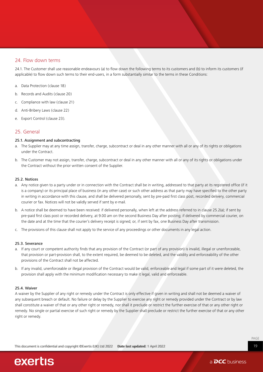#### 24. Flow down terms

24.1. The Customer shall use reasonable endeavours (a) to flow down the following terms to its customers and (b) to inform its customers (if applicable) to flow down such terms to their end-users, in a form substantially similar to the terms in these Conditions:

- a. Data Protection (clause 18)
- b. Records and Audits (clause 20)
- c. Compliance with law (clause 21)
- d. Anti-Bribery Laws (clause 22)
- e. Export Control (clause 23).

#### 25. General

#### 25.1. Assignment and subcontracting

- a. The Supplier may at any time assign, transfer, charge, subcontract or deal in any other manner with all or any of its rights or obligations under the Contract.
- b. The Customer may not assign, transfer, charge, subcontract or deal in any other manner with all or any of its rights or obligations under the Contract without the prior written consent of the Supplier.

#### 25.2. Notices

- a. Any notice given to a party under or in connection with the Contract shall be in writing, addressed to that party at its registered office (if it is a company) or its principal place of business (in any other case) or such other address as that party may have specified to the other party in writing in accordance with this clause, and shall be delivered personally, sent by pre-paid first class post, recorded delivery, commercial courier or fax. Notices will not be validly served if sent by e-mail.
- b. A notice shall be deemed to have been received: if delivered personally, when left at the address referred to in clause 25.2(a); if sent by pre-paid first class post or recorded delivery, at 9.00 am on the second Business Day after posting; if delivered by commercial courier, on the date and at the time that the courier's delivery receipt is signed; or, if sent by fax, one Business Day after transmission.
- c. The provisions of this clause shall not apply to the service of any proceedings or other documents in any legal action.

#### 25.3. Severance

- a. If any court or competent authority finds that any provision of the Contract (or part of any provision) is invalid, illegal or unenforceable, that provision or part-provision shall, to the extent required, be deemed to be deleted, and the validity and enforceability of the other provisions of the Contract shall not be affected.
- b. If any invalid, unenforceable or illegal provision of the Contract would be valid, enforceable and legal if some part of it were deleted, the provision shall apply with the minimum modification necessary to make it legal, valid and enforceable.

#### 25.4. Waiver

A waiver by the Supplier of any right or remedy under the Contract is only effective if given in writing and shall not be deemed a waiver of any subsequent breach or default. No failure or delay by the Supplier to exercise any right or remedy provided under the Contract or by law shall constitute a waiver of that or any other right or remedy, nor shall it preclude or restrict the further exercise of that or any other right or remedy. No single or partial exercise of such right or remedy by the Supplier shall preclude or restrict the further exercise of that or any other right or remedy.